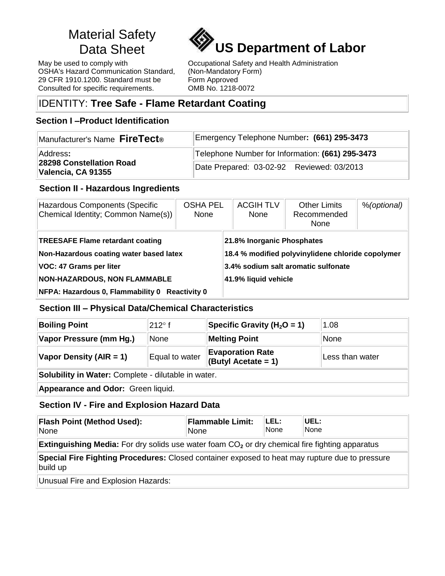# Material Safety

May be used to comply with OSHA's Hazard Communication Standard, 29 CFR 1910.1200. Standard must be Consulted for specific requirements.



Occupational Safety and Health Administration (Non-Mandatory Form) Form Approved OMB No. 1218-0072

# IDENTITY: **Tree Safe - Flame Retardant Coating**

# **Section I –Product Identification**

| Manufacturer's Name FireTect®                              | Emergency Telephone Number: (661) 295-3473       |  |
|------------------------------------------------------------|--------------------------------------------------|--|
| Address:<br>28298 Constellation Road<br>Valencia, CA 91355 | Telephone Number for Information: (661) 295-3473 |  |
|                                                            | Date Prepared: 03-02-92 Reviewed: 03/2013        |  |

#### **Section II - Hazardous Ingredients**

| Hazardous Components (Specific<br>Chemical Identity; Common Name(s))               | <b>OSHA PEL</b><br>None | <b>ACGIH TLV</b><br>None                                                        | <b>Other Limits</b><br>Recommended<br>None | %(optional) |
|------------------------------------------------------------------------------------|-------------------------|---------------------------------------------------------------------------------|--------------------------------------------|-------------|
| <b>TREESAFE Flame retardant coating</b><br>Non-Hazardous coating water based latex |                         | 21.8% Inorganic Phosphates<br>18.4 % modified polyvinylidene chloride copolymer |                                            |             |
| VOC: 47 Grams per liter                                                            |                         | 3.4% sodium salt aromatic sulfonate                                             |                                            |             |
| <b>NON-HAZARDOUS, NON FLAMMABLE</b>                                                |                         | 41.9% liquid vehicle                                                            |                                            |             |
| NFPA: Hazardous 0, Flammability 0 Reactivity 0                                     |                         |                                                                                 |                                            |             |

# **Section III – Physical Data/Chemical Characteristics**

| <b>Boiling Point</b>                                | $212^\circ$ f  | Specific Gravity ( $H_2O = 1$ )                       | 1.08            |  |
|-----------------------------------------------------|----------------|-------------------------------------------------------|-----------------|--|
| Vapor Pressure (mm Hg.)                             | None           | <b>Melting Point</b>                                  | None            |  |
| Vapor Density ( $AIR = 1$ )                         | Equal to water | <b>Evaporation Rate</b><br><b>(Butyl Acetate = 1)</b> | Less than water |  |
| Solubility in Water: Complete - dilutable in water. |                |                                                       |                 |  |
| Appearance and Odor: Green liquid.                  |                |                                                       |                 |  |

# **Section IV - Fire and Explosion Hazard Data**

| <b>Flash Point (Method Used):</b><br>None                                                                  | <b>Flammable Limit:</b><br>None | ILEL:<br>None | <b>UEL:</b><br>None |  |  |
|------------------------------------------------------------------------------------------------------------|---------------------------------|---------------|---------------------|--|--|
| <b>Extinguishing Media:</b> For dry solids use water foam $CO2$ or dry chemical fire fighting apparatus    |                                 |               |                     |  |  |
| Special Fire Fighting Procedures: Closed container exposed to heat may rupture due to pressure<br>build up |                                 |               |                     |  |  |
| Unusual Fire and Explosion Hazards:                                                                        |                                 |               |                     |  |  |